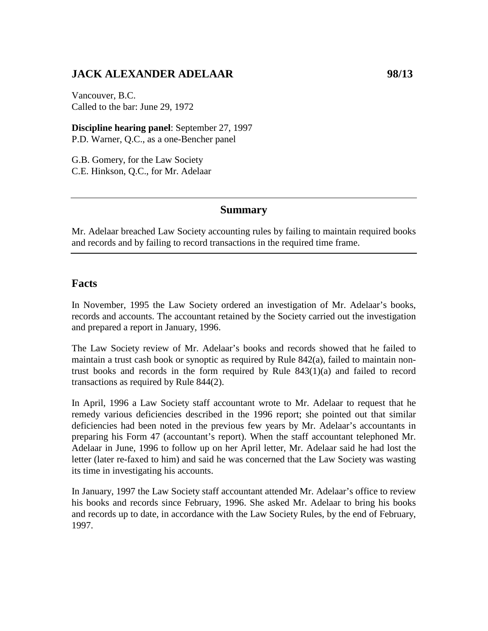# **JACK ALEXANDER ADELAAR 98/13**

Vancouver, B.C. Called to the bar: June 29, 1972

**Discipline hearing panel**: September 27, 1997 P.D. Warner, Q.C., as a one-Bencher panel

G.B. Gomery, for the Law Society C.E. Hinkson, Q.C., for Mr. Adelaar

### **Summary**

Mr. Adelaar breached Law Society accounting rules by failing to maintain required books and records and by failing to record transactions in the required time frame.

### **Facts**

In November, 1995 the Law Society ordered an investigation of Mr. Adelaar's books, records and accounts. The accountant retained by the Society carried out the investigation and prepared a report in January, 1996.

The Law Society review of Mr. Adelaar's books and records showed that he failed to maintain a trust cash book or synoptic as required by Rule 842(a), failed to maintain nontrust books and records in the form required by Rule  $843(1)(a)$  and failed to record transactions as required by Rule 844(2).

In April, 1996 a Law Society staff accountant wrote to Mr. Adelaar to request that he remedy various deficiencies described in the 1996 report; she pointed out that similar deficiencies had been noted in the previous few years by Mr. Adelaar's accountants in preparing his Form 47 (accountant's report). When the staff accountant telephoned Mr. Adelaar in June, 1996 to follow up on her April letter, Mr. Adelaar said he had lost the letter (later re-faxed to him) and said he was concerned that the Law Society was wasting its time in investigating his accounts.

In January, 1997 the Law Society staff accountant attended Mr. Adelaar's office to review his books and records since February, 1996. She asked Mr. Adelaar to bring his books and records up to date, in accordance with the Law Society Rules, by the end of February, 1997.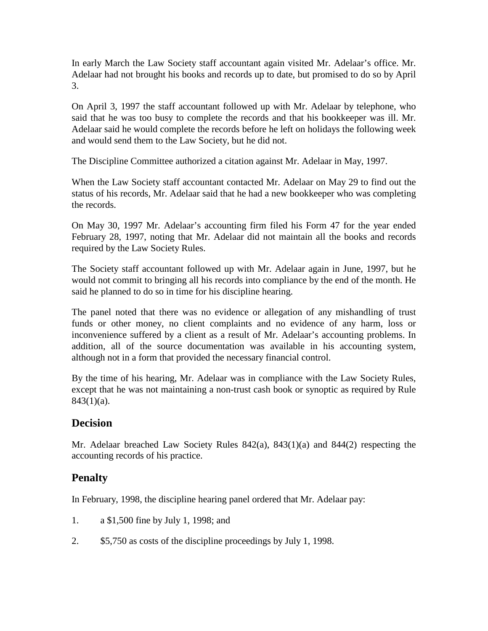In early March the Law Society staff accountant again visited Mr. Adelaar's office. Mr. Adelaar had not brought his books and records up to date, but promised to do so by April 3.

On April 3, 1997 the staff accountant followed up with Mr. Adelaar by telephone, who said that he was too busy to complete the records and that his bookkeeper was ill. Mr. Adelaar said he would complete the records before he left on holidays the following week and would send them to the Law Society, but he did not.

The Discipline Committee authorized a citation against Mr. Adelaar in May, 1997.

When the Law Society staff accountant contacted Mr. Adelaar on May 29 to find out the status of his records, Mr. Adelaar said that he had a new bookkeeper who was completing the records.

On May 30, 1997 Mr. Adelaar's accounting firm filed his Form 47 for the year ended February 28, 1997, noting that Mr. Adelaar did not maintain all the books and records required by the Law Society Rules.

The Society staff accountant followed up with Mr. Adelaar again in June, 1997, but he would not commit to bringing all his records into compliance by the end of the month. He said he planned to do so in time for his discipline hearing.

The panel noted that there was no evidence or allegation of any mishandling of trust funds or other money, no client complaints and no evidence of any harm, loss or inconvenience suffered by a client as a result of Mr. Adelaar's accounting problems. In addition, all of the source documentation was available in his accounting system, although not in a form that provided the necessary financial control.

By the time of his hearing, Mr. Adelaar was in compliance with the Law Society Rules, except that he was not maintaining a non-trust cash book or synoptic as required by Rule  $843(1)(a)$ .

# **Decision**

Mr. Adelaar breached Law Society Rules 842(a), 843(1)(a) and 844(2) respecting the accounting records of his practice.

# **Penalty**

In February, 1998, the discipline hearing panel ordered that Mr. Adelaar pay:

- 1. a \$1,500 fine by July 1, 1998; and
- 2. \$5,750 as costs of the discipline proceedings by July 1, 1998.